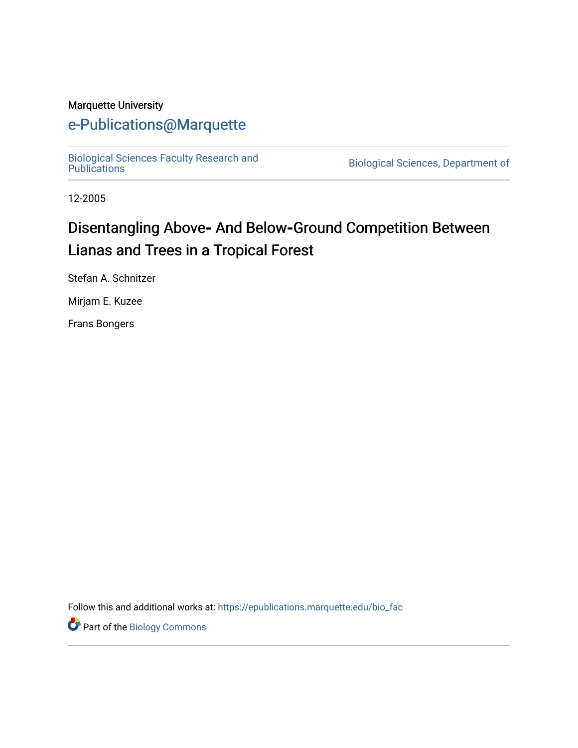#### Marquette University

# [e-Publications@Marquette](https://epublications.marquette.edu/)

[Biological Sciences Faculty Research and](https://epublications.marquette.edu/bio_fac) 

Biological Sciences, Department of

12-2005

# Disentangling Above- And Below-Ground Competition Between Lianas and Trees in a Tropical Forest

Stefan A. Schnitzer

Mirjam E. Kuzee

Frans Bongers

Follow this and additional works at: [https://epublications.marquette.edu/bio\\_fac](https://epublications.marquette.edu/bio_fac?utm_source=epublications.marquette.edu%2Fbio_fac%2F734&utm_medium=PDF&utm_campaign=PDFCoverPages) 

Part of the [Biology Commons](http://network.bepress.com/hgg/discipline/41?utm_source=epublications.marquette.edu%2Fbio_fac%2F734&utm_medium=PDF&utm_campaign=PDFCoverPages)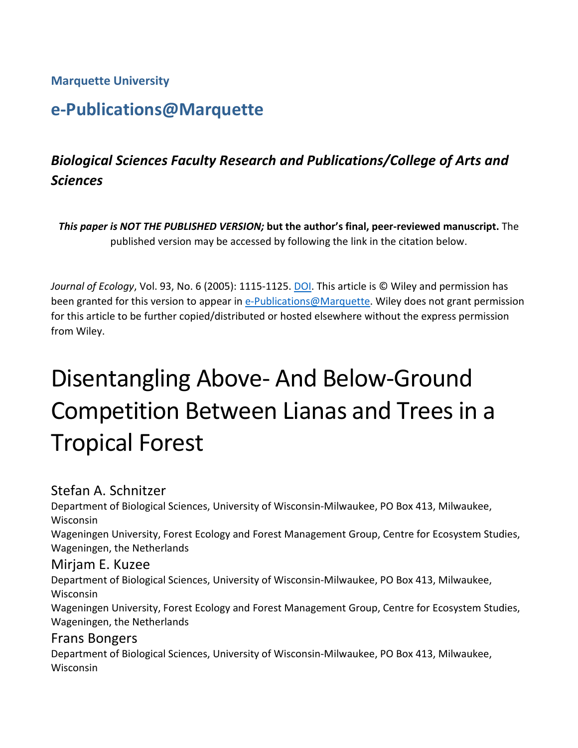**Marquette University**

# **e-Publications@Marquette**

# *Biological Sciences Faculty Research and Publications/College of Arts and Sciences*

*This paper is NOT THE PUBLISHED VERSION;* **but the author's final, peer-reviewed manuscript.** The published version may be accessed by following the link in the citation below.

Journal of Ecology, Vol. 93, No. 6 (2005): 1115-1125. **DOI**. This article is © Wiley and permission has been granted for this version to appear in [e-Publications@Marquette.](http://epublications.marquette.edu/) Wiley does not grant permission for this article to be further copied/distributed or hosted elsewhere without the express permission from Wiley.

# Disentangling Above- And Below-Ground Competition Between Lianas and Trees in a Tropical Forest

## Stefan A. Schnitzer

Department of Biological Sciences, University of Wisconsin-Milwaukee, PO Box 413, Milwaukee, Wisconsin Wageningen University, Forest Ecology and Forest Management Group, Centre for Ecosystem Studies,

Wageningen, the Netherlands

#### Mirjam E. Kuzee

Department of Biological Sciences, University of Wisconsin-Milwaukee, PO Box 413, Milwaukee, Wisconsin

Wageningen University, Forest Ecology and Forest Management Group, Centre for Ecosystem Studies, Wageningen, the Netherlands

#### Frans Bongers

Department of Biological Sciences, University of Wisconsin-Milwaukee, PO Box 413, Milwaukee, **Wisconsin**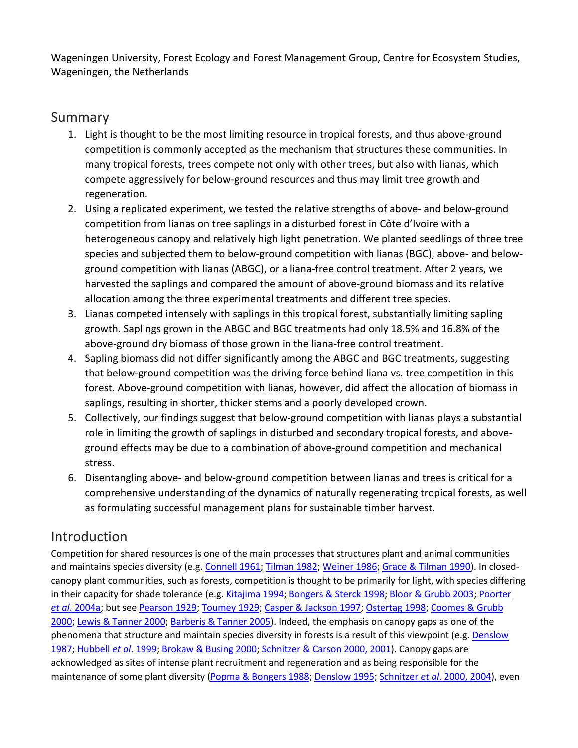Wageningen University, Forest Ecology and Forest Management Group, Centre for Ecosystem Studies, Wageningen, the Netherlands

## Summary

- 1. Light is thought to be the most limiting resource in tropical forests, and thus above-ground competition is commonly accepted as the mechanism that structures these communities. In many tropical forests, trees compete not only with other trees, but also with lianas, which compete aggressively for below-ground resources and thus may limit tree growth and regeneration.
- 2. Using a replicated experiment, we tested the relative strengths of above- and below-ground competition from lianas on tree saplings in a disturbed forest in Côte d'Ivoire with a heterogeneous canopy and relatively high light penetration. We planted seedlings of three tree species and subjected them to below-ground competition with lianas (BGC), above- and belowground competition with lianas (ABGC), or a liana-free control treatment. After 2 years, we harvested the saplings and compared the amount of above-ground biomass and its relative allocation among the three experimental treatments and different tree species.
- 3. Lianas competed intensely with saplings in this tropical forest, substantially limiting sapling growth. Saplings grown in the ABGC and BGC treatments had only 18.5% and 16.8% of the above-ground dry biomass of those grown in the liana-free control treatment.
- 4. Sapling biomass did not differ significantly among the ABGC and BGC treatments, suggesting that below-ground competition was the driving force behind liana vs. tree competition in this forest. Above-ground competition with lianas, however, did affect the allocation of biomass in saplings, resulting in shorter, thicker stems and a poorly developed crown.
- 5. Collectively, our findings suggest that below-ground competition with lianas plays a substantial role in limiting the growth of saplings in disturbed and secondary tropical forests, and aboveground effects may be due to a combination of above-ground competition and mechanical stress.
- 6. Disentangling above- and below-ground competition between lianas and trees is critical for a comprehensive understanding of the dynamics of naturally regenerating tropical forests, as well as formulating successful management plans for sustainable timber harvest.

# Introduction

Competition for shared resources is one of the main processes that structures plant and animal communities and maintains species diversity (e.g. [Connell 1961;](https://besjournals.onlinelibrary.wiley.com/doi/full/10.1111/j.1365-2745.2005.01056.x#b1) [Tilman 1982;](https://besjournals.onlinelibrary.wiley.com/doi/full/10.1111/j.1365-2745.2005.01056.x#b2) [Weiner 1986;](https://besjournals.onlinelibrary.wiley.com/doi/full/10.1111/j.1365-2745.2005.01056.x#b3) [Grace & Tilman 1990\)](https://besjournals.onlinelibrary.wiley.com/doi/full/10.1111/j.1365-2745.2005.01056.x#b4). In closedcanopy plant communities, such as forests, competition is thought to be primarily for light, with species differing in their capacity for shade tolerance (e.g[. Kitajima 1994;](https://besjournals.onlinelibrary.wiley.com/doi/full/10.1111/j.1365-2745.2005.01056.x#b5) [Bongers & Sterck 1998;](https://besjournals.onlinelibrary.wiley.com/doi/full/10.1111/j.1365-2745.2005.01056.x#b6) [Bloor & Grubb 2003;](https://besjournals.onlinelibrary.wiley.com/doi/full/10.1111/j.1365-2745.2005.01056.x#b7) [Poorter](https://besjournals.onlinelibrary.wiley.com/doi/full/10.1111/j.1365-2745.2005.01056.x#b8)  *et al*[. 2004a;](https://besjournals.onlinelibrary.wiley.com/doi/full/10.1111/j.1365-2745.2005.01056.x#b8) but see [Pearson 1929;](https://besjournals.onlinelibrary.wiley.com/doi/full/10.1111/j.1365-2745.2005.01056.x#b9) [Toumey 1929;](https://besjournals.onlinelibrary.wiley.com/doi/full/10.1111/j.1365-2745.2005.01056.x#b10) [Casper & Jackson 1997;](https://besjournals.onlinelibrary.wiley.com/doi/full/10.1111/j.1365-2745.2005.01056.x#b11) [Ostertag 1998;](https://besjournals.onlinelibrary.wiley.com/doi/full/10.1111/j.1365-2745.2005.01056.x#b12) [Coomes & Grubb](https://besjournals.onlinelibrary.wiley.com/doi/full/10.1111/j.1365-2745.2005.01056.x#b13)  [2000;](https://besjournals.onlinelibrary.wiley.com/doi/full/10.1111/j.1365-2745.2005.01056.x#b13) [Lewis & Tanner 2000;](https://besjournals.onlinelibrary.wiley.com/doi/full/10.1111/j.1365-2745.2005.01056.x#b14) [Barberis & Tanner 2005\)](https://besjournals.onlinelibrary.wiley.com/doi/full/10.1111/j.1365-2745.2005.01056.x#b15). Indeed, the emphasis on canopy gaps as one of the phenomena that structure and maintain species diversity in forests is a result of this viewpoint (e.g. [Denslow](https://besjournals.onlinelibrary.wiley.com/doi/full/10.1111/j.1365-2745.2005.01056.x#b16)  [1987;](https://besjournals.onlinelibrary.wiley.com/doi/full/10.1111/j.1365-2745.2005.01056.x#b16) [Hubbell](https://besjournals.onlinelibrary.wiley.com/doi/full/10.1111/j.1365-2745.2005.01056.x#b17) *et al*. 1999[; Brokaw & Busing 2000;](https://besjournals.onlinelibrary.wiley.com/doi/full/10.1111/j.1365-2745.2005.01056.x#b18) [Schnitzer & Carson 2000, 2001\)](https://besjournals.onlinelibrary.wiley.com/doi/full/10.1111/j.1365-2745.2005.01056.x#b19%20#b20). Canopy gaps are acknowledged as sites of intense plant recruitment and regeneration and as being responsible for the maintenance of some plant diversity [\(Popma & Bongers 1988;](https://besjournals.onlinelibrary.wiley.com/doi/full/10.1111/j.1365-2745.2005.01056.x#b21) [Denslow 1995;](https://besjournals.onlinelibrary.wiley.com/doi/full/10.1111/j.1365-2745.2005.01056.x#b22) Schnitzer *et al*[. 2000, 2004\)](https://besjournals.onlinelibrary.wiley.com/doi/full/10.1111/j.1365-2745.2005.01056.x#b23%20#b24), even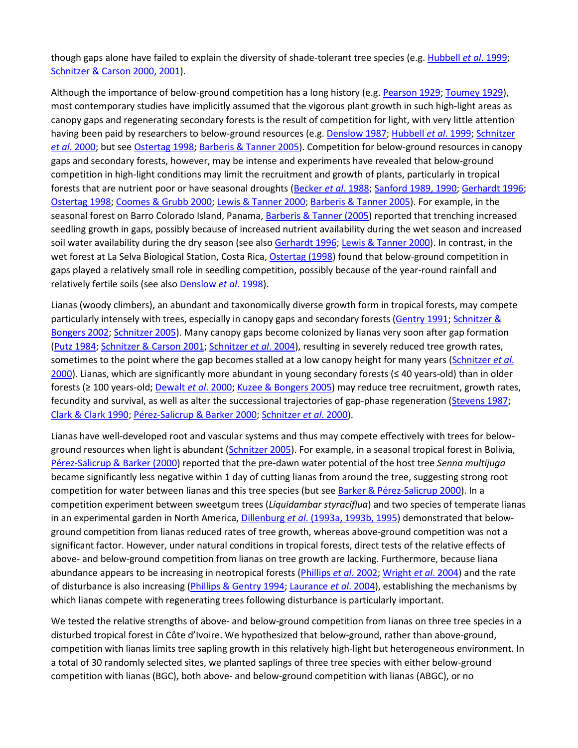though gaps alone have failed to explain the diversity of shade-tolerant tree species (e.g. [Hubbell](https://besjournals.onlinelibrary.wiley.com/doi/full/10.1111/j.1365-2745.2005.01056.x#b17) *et al*. 1999; [Schnitzer & Carson 2000, 2001\)](https://besjournals.onlinelibrary.wiley.com/doi/full/10.1111/j.1365-2745.2005.01056.x#b19%20#b20).

Although the importance of below-ground competition has a long history (e.g[. Pearson 1929;](https://besjournals.onlinelibrary.wiley.com/doi/full/10.1111/j.1365-2745.2005.01056.x#b9) [Toumey 1929\)](https://besjournals.onlinelibrary.wiley.com/doi/full/10.1111/j.1365-2745.2005.01056.x#b10), most contemporary studies have implicitly assumed that the vigorous plant growth in such high-light areas as canopy gaps and regenerating secondary forests is the result of competition for light, with very little attention having been paid by researchers to below-ground resources (e.g. [Denslow 1987;](https://besjournals.onlinelibrary.wiley.com/doi/full/10.1111/j.1365-2745.2005.01056.x#b16) [Hubbell](https://besjournals.onlinelibrary.wiley.com/doi/full/10.1111/j.1365-2745.2005.01056.x#b17) *et al*. 1999[; Schnitzer](https://besjournals.onlinelibrary.wiley.com/doi/full/10.1111/j.1365-2745.2005.01056.x#b23)  *et al*[. 2000;](https://besjournals.onlinelibrary.wiley.com/doi/full/10.1111/j.1365-2745.2005.01056.x#b23) but see [Ostertag 1998;](https://besjournals.onlinelibrary.wiley.com/doi/full/10.1111/j.1365-2745.2005.01056.x#b12) [Barberis & Tanner 2005\)](https://besjournals.onlinelibrary.wiley.com/doi/full/10.1111/j.1365-2745.2005.01056.x#b15). Competition for below-ground resources in canopy gaps and secondary forests, however, may be intense and experiments have revealed that below-ground competition in high-light conditions may limit the recruitment and growth of plants, particularly in tropical forests that are nutrient poor or have seasonal droughts [\(Becker](https://besjournals.onlinelibrary.wiley.com/doi/full/10.1111/j.1365-2745.2005.01056.x#b25) *et al*. 1988[; Sanford 1989, 1990;](https://besjournals.onlinelibrary.wiley.com/doi/full/10.1111/j.1365-2745.2005.01056.x#b26%20#b27) [Gerhardt 1996;](https://besjournals.onlinelibrary.wiley.com/doi/full/10.1111/j.1365-2745.2005.01056.x#b28) [Ostertag 1998;](https://besjournals.onlinelibrary.wiley.com/doi/full/10.1111/j.1365-2745.2005.01056.x#b12) [Coomes & Grubb 2000;](https://besjournals.onlinelibrary.wiley.com/doi/full/10.1111/j.1365-2745.2005.01056.x#b13) [Lewis & Tanner 2000;](https://besjournals.onlinelibrary.wiley.com/doi/full/10.1111/j.1365-2745.2005.01056.x#b14) [Barberis & Tanner 2005\)](https://besjournals.onlinelibrary.wiley.com/doi/full/10.1111/j.1365-2745.2005.01056.x#b15). For example, in the seasonal forest on Barro Colorado Island, Panama[, Barberis & Tanner \(2005\)](https://besjournals.onlinelibrary.wiley.com/doi/full/10.1111/j.1365-2745.2005.01056.x#b15) reported that trenching increased seedling growth in gaps, possibly because of increased nutrient availability during the wet season and increased soil water availability during the dry season (see also [Gerhardt 1996;](https://besjournals.onlinelibrary.wiley.com/doi/full/10.1111/j.1365-2745.2005.01056.x#b28) [Lewis & Tanner 2000\)](https://besjournals.onlinelibrary.wiley.com/doi/full/10.1111/j.1365-2745.2005.01056.x#b14). In contrast, in the wet forest at La Selva Biological Station, Costa Rica[, Ostertag \(1998\)](https://besjournals.onlinelibrary.wiley.com/doi/full/10.1111/j.1365-2745.2005.01056.x#b12) found that below-ground competition in gaps played a relatively small role in seedling competition, possibly because of the year-round rainfall and relatively fertile soils (see als[o Denslow](https://besjournals.onlinelibrary.wiley.com/doi/full/10.1111/j.1365-2745.2005.01056.x#b29) *et al*. 1998).

Lianas (woody climbers), an abundant and taxonomically diverse growth form in tropical forests, may compete particularly intensely with trees, especially in canopy gaps and secondary forests [\(Gentry 1991;](https://besjournals.onlinelibrary.wiley.com/doi/full/10.1111/j.1365-2745.2005.01056.x#b30) [Schnitzer &](https://besjournals.onlinelibrary.wiley.com/doi/full/10.1111/j.1365-2745.2005.01056.x#b31)  [Bongers 2002;](https://besjournals.onlinelibrary.wiley.com/doi/full/10.1111/j.1365-2745.2005.01056.x#b31) [Schnitzer 2005\)](https://besjournals.onlinelibrary.wiley.com/doi/full/10.1111/j.1365-2745.2005.01056.x#b32). Many canopy gaps become colonized by lianas very soon after gap formation [\(Putz 1984;](https://besjournals.onlinelibrary.wiley.com/doi/full/10.1111/j.1365-2745.2005.01056.x#b33) [Schnitzer & Carson 2001;](https://besjournals.onlinelibrary.wiley.com/doi/full/10.1111/j.1365-2745.2005.01056.x#b20) [Schnitzer](https://besjournals.onlinelibrary.wiley.com/doi/full/10.1111/j.1365-2745.2005.01056.x#b24) *et al*. 2004), resulting in severely reduced tree growth rates, sometimes to the point where the gap becomes stalled at a low canopy height for many years [\(Schnitzer](https://besjournals.onlinelibrary.wiley.com/doi/full/10.1111/j.1365-2745.2005.01056.x#b23) *et al*. [2000](https://besjournals.onlinelibrary.wiley.com/doi/full/10.1111/j.1365-2745.2005.01056.x#b23)). Lianas, which are significantly more abundant in young secondary forests (≤ 40 years-old) than in older forests (≥ 100 years-old[; Dewalt](https://besjournals.onlinelibrary.wiley.com/doi/full/10.1111/j.1365-2745.2005.01056.x#b34) *et al*. 2000; [Kuzee & Bongers 2005\)](https://besjournals.onlinelibrary.wiley.com/doi/full/10.1111/j.1365-2745.2005.01056.x#b35) may reduce tree recruitment, growth rates, fecundity and survival, as well as alter the successional trajectories of gap-phase regeneration [\(Stevens 1987;](https://besjournals.onlinelibrary.wiley.com/doi/full/10.1111/j.1365-2745.2005.01056.x#b36) [Clark & Clark 1990;](https://besjournals.onlinelibrary.wiley.com/doi/full/10.1111/j.1365-2745.2005.01056.x#b37) [Pérez-Salicrup & Barker 2000;](https://besjournals.onlinelibrary.wiley.com/doi/full/10.1111/j.1365-2745.2005.01056.x#b38) [Schnitzer](https://besjournals.onlinelibrary.wiley.com/doi/full/10.1111/j.1365-2745.2005.01056.x#b23) *et al*. 2000).

Lianas have well-developed root and vascular systems and thus may compete effectively with trees for below-ground resources when light is abundant [\(Schnitzer 2005\)](https://besjournals.onlinelibrary.wiley.com/doi/full/10.1111/j.1365-2745.2005.01056.x#b32). For example, in a seasonal tropical forest in Bolivia, [Pérez-Salicrup & Barker](https://besjournals.onlinelibrary.wiley.com/doi/full/10.1111/j.1365-2745.2005.01056.x#b38) (2000) reported that the pre-dawn water potential of the host tree *Senna multijuga* became significantly less negative within 1 day of cutting lianas from around the tree, suggesting strong root competition for water between lianas and this tree species (but see [Barker & Pérez-Salicrup 2000\)](https://besjournals.onlinelibrary.wiley.com/doi/full/10.1111/j.1365-2745.2005.01056.x#b39). In a competition experiment between sweetgum trees (*Liquidambar styraciflua*) and two species of temperate lianas in an experimental garden in North America, Dillenburg *et al*[. \(1993a, 1993b, 1995\)](https://besjournals.onlinelibrary.wiley.com/doi/full/10.1111/j.1365-2745.2005.01056.x#b40%20#b41%20#b42) demonstrated that belowground competition from lianas reduced rates of tree growth, whereas above-ground competition was not a significant factor. However, under natural conditions in tropical forests, direct tests of the relative effects of above- and below-ground competition from lianas on tree growth are lacking. Furthermore, because liana abundance appears to be increasing in neotropical forests [\(Phillips](https://besjournals.onlinelibrary.wiley.com/doi/full/10.1111/j.1365-2745.2005.01056.x#b43) *et al*. 2002[; Wright](https://besjournals.onlinelibrary.wiley.com/doi/full/10.1111/j.1365-2745.2005.01056.x#b44) *et al*. 2004) and the rate of disturbance is also increasing [\(Phillips & Gentry 1994;](https://besjournals.onlinelibrary.wiley.com/doi/full/10.1111/j.1365-2745.2005.01056.x#b45) [Laurance](https://besjournals.onlinelibrary.wiley.com/doi/full/10.1111/j.1365-2745.2005.01056.x#b46) *et al*. 2004), establishing the mechanisms by which lianas compete with regenerating trees following disturbance is particularly important.

We tested the relative strengths of above- and below-ground competition from lianas on three tree species in a disturbed tropical forest in Côte d'Ivoire. We hypothesized that below-ground, rather than above-ground, competition with lianas limits tree sapling growth in this relatively high-light but heterogeneous environment. In a total of 30 randomly selected sites, we planted saplings of three tree species with either below-ground competition with lianas (BGC), both above- and below-ground competition with lianas (ABGC), or no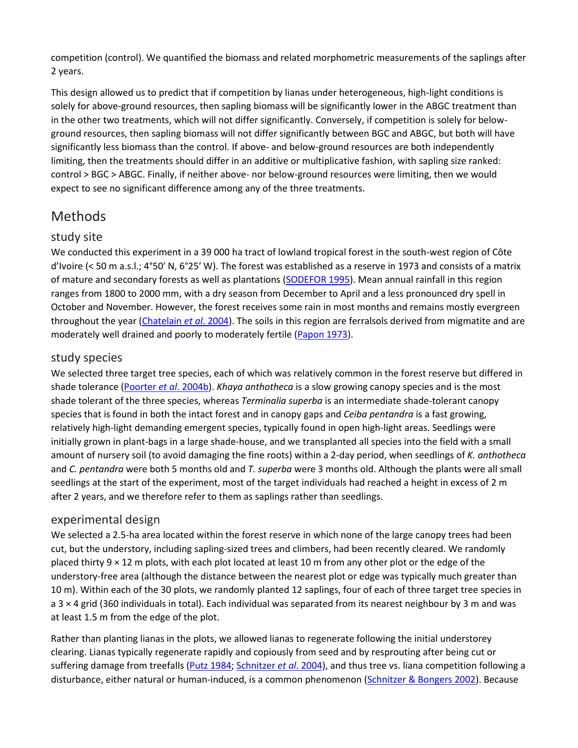competition (control). We quantified the biomass and related morphometric measurements of the saplings after 2 years.

This design allowed us to predict that if competition by lianas under heterogeneous, high-light conditions is solely for above-ground resources, then sapling biomass will be significantly lower in the ABGC treatment than in the other two treatments, which will not differ significantly. Conversely, if competition is solely for belowground resources, then sapling biomass will not differ significantly between BGC and ABGC, but both will have significantly less biomass than the control. If above- and below-ground resources are both independently limiting, then the treatments should differ in an additive or multiplicative fashion, with sapling size ranked: control > BGC > ABGC. Finally, if neither above- nor below-ground resources were limiting, then we would expect to see no significant difference among any of the three treatments.

# Methods

#### study site

We conducted this experiment in a 39 000 ha tract of lowland tropical forest in the south-west region of Côte d'Ivoire (< 50 m a.s.l.; 4°50′ N, 6°25′ W). The forest was established as a reserve in 1973 and consists of a matrix of mature and secondary forests as well as plantations [\(SODEFOR 1995\)](https://besjournals.onlinelibrary.wiley.com/doi/full/10.1111/j.1365-2745.2005.01056.x#b47). Mean annual rainfall in this region ranges from 1800 to 2000 mm, with a dry season from December to April and a less pronounced dry spell in October and November. However, the forest receives some rain in most months and remains mostly evergreen throughout the year [\(Chatelain](https://besjournals.onlinelibrary.wiley.com/doi/full/10.1111/j.1365-2745.2005.01056.x#b48) *et al*. 2004). The soils in this region are ferralsols derived from migmatite and are moderately well drained and poorly to moderately fertile [\(Papon 1973\)](https://besjournals.onlinelibrary.wiley.com/doi/full/10.1111/j.1365-2745.2005.01056.x#b49).

#### study species

We selected three target tree species, each of which was relatively common in the forest reserve but differed in shade tolerance [\(Poorter](https://besjournals.onlinelibrary.wiley.com/doi/full/10.1111/j.1365-2745.2005.01056.x#b50) *et al*. 2004b). *Khaya anthotheca* is a slow growing canopy species and is the most shade tolerant of the three species, whereas *Terminalia superba* is an intermediate shade-tolerant canopy species that is found in both the intact forest and in canopy gaps and *Ceiba pentandra* is a fast growing, relatively high-light demanding emergent species, typically found in open high-light areas. Seedlings were initially grown in plant-bags in a large shade-house, and we transplanted all species into the field with a small amount of nursery soil (to avoid damaging the fine roots) within a 2-day period, when seedlings of *K. anthotheca* and *C. pentandra* were both 5 months old and *T. superba* were 3 months old. Although the plants were all small seedlings at the start of the experiment, most of the target individuals had reached a height in excess of 2 m after 2 years, and we therefore refer to them as saplings rather than seedlings.

#### experimental design

We selected a 2.5-ha area located within the forest reserve in which none of the large canopy trees had been cut, but the understory, including sapling-sized trees and climbers, had been recently cleared. We randomly placed thirty  $9 \times 12$  m plots, with each plot located at least 10 m from any other plot or the edge of the understory-free area (although the distance between the nearest plot or edge was typically much greater than 10 m). Within each of the 30 plots, we randomly planted 12 saplings, four of each of three target tree species in a 3 × 4 grid (360 individuals in total). Each individual was separated from its nearest neighbour by 3 m and was at least 1.5 m from the edge of the plot.

Rather than planting lianas in the plots, we allowed lianas to regenerate following the initial understorey clearing. Lianas typically regenerate rapidly and copiously from seed and by resprouting after being cut or suffering damage from treefalls [\(Putz 1984;](https://besjournals.onlinelibrary.wiley.com/doi/full/10.1111/j.1365-2745.2005.01056.x#b33) [Schnitzer](https://besjournals.onlinelibrary.wiley.com/doi/full/10.1111/j.1365-2745.2005.01056.x#b24) *et al*. 2004), and thus tree vs. liana competition following a disturbance, either natural or human-induced, is a common phenomenon [\(Schnitzer & Bongers 2002\)](https://besjournals.onlinelibrary.wiley.com/doi/full/10.1111/j.1365-2745.2005.01056.x#b31). Because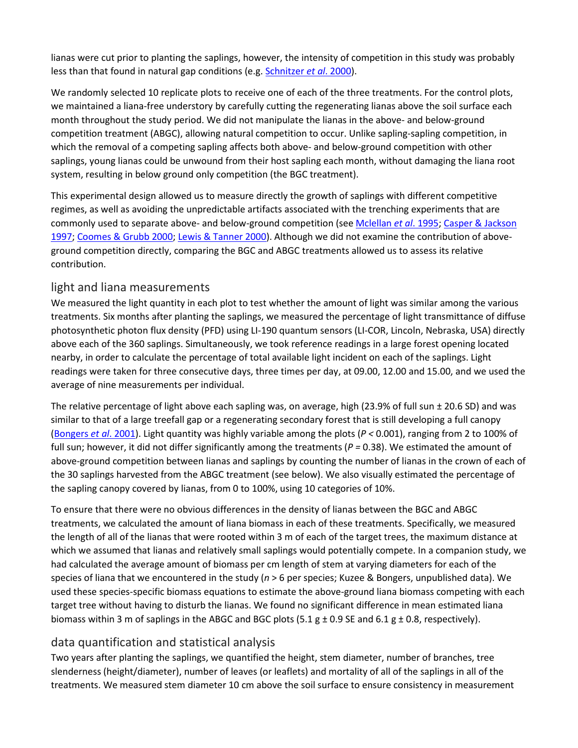lianas were cut prior to planting the saplings, however, the intensity of competition in this study was probably less than that found in natural gap conditions (e.g. [Schnitzer](https://besjournals.onlinelibrary.wiley.com/doi/full/10.1111/j.1365-2745.2005.01056.x#b23) *et al*. 2000).

We randomly selected 10 replicate plots to receive one of each of the three treatments. For the control plots, we maintained a liana-free understory by carefully cutting the regenerating lianas above the soil surface each month throughout the study period. We did not manipulate the lianas in the above- and below-ground competition treatment (ABGC), allowing natural competition to occur. Unlike sapling-sapling competition, in which the removal of a competing sapling affects both above- and below-ground competition with other saplings, young lianas could be unwound from their host sapling each month, without damaging the liana root system, resulting in below ground only competition (the BGC treatment).

This experimental design allowed us to measure directly the growth of saplings with different competitive regimes, as well as avoiding the unpredictable artifacts associated with the trenching experiments that are commonly used to separate above- and below-ground competition (see [Mclellan](https://besjournals.onlinelibrary.wiley.com/doi/full/10.1111/j.1365-2745.2005.01056.x#b51) *et al*. 1995; [Casper & Jackson](https://besjournals.onlinelibrary.wiley.com/doi/full/10.1111/j.1365-2745.2005.01056.x#b11)  [1997;](https://besjournals.onlinelibrary.wiley.com/doi/full/10.1111/j.1365-2745.2005.01056.x#b11) [Coomes & Grubb 2000;](https://besjournals.onlinelibrary.wiley.com/doi/full/10.1111/j.1365-2745.2005.01056.x#b13) [Lewis & Tanner 2000\)](https://besjournals.onlinelibrary.wiley.com/doi/full/10.1111/j.1365-2745.2005.01056.x#b14). Although we did not examine the contribution of aboveground competition directly, comparing the BGC and ABGC treatments allowed us to assess its relative contribution.

#### light and liana measurements

We measured the light quantity in each plot to test whether the amount of light was similar among the various treatments. Six months after planting the saplings, we measured the percentage of light transmittance of diffuse photosynthetic photon flux density (PFD) using LI-190 quantum sensors (LI-COR, Lincoln, Nebraska, USA) directly above each of the 360 saplings. Simultaneously, we took reference readings in a large forest opening located nearby, in order to calculate the percentage of total available light incident on each of the saplings. Light readings were taken for three consecutive days, three times per day, at 09.00, 12.00 and 15.00, and we used the average of nine measurements per individual.

The relative percentage of light above each sapling was, on average, high (23.9% of full sun  $\pm$  20.6 SD) and was similar to that of a large treefall gap or a regenerating secondary forest that is still developing a full canopy [\(Bongers](https://besjournals.onlinelibrary.wiley.com/doi/full/10.1111/j.1365-2745.2005.01056.x#b52) *et al*. 2001). Light quantity was highly variable among the plots (*P <* 0.001), ranging from 2 to 100% of full sun; however, it did not differ significantly among the treatments ( $P = 0.38$ ). We estimated the amount of above-ground competition between lianas and saplings by counting the number of lianas in the crown of each of the 30 saplings harvested from the ABGC treatment (see below). We also visually estimated the percentage of the sapling canopy covered by lianas, from 0 to 100%, using 10 categories of 10%.

To ensure that there were no obvious differences in the density of lianas between the BGC and ABGC treatments, we calculated the amount of liana biomass in each of these treatments. Specifically, we measured the length of all of the lianas that were rooted within 3 m of each of the target trees, the maximum distance at which we assumed that lianas and relatively small saplings would potentially compete. In a companion study, we had calculated the average amount of biomass per cm length of stem at varying diameters for each of the species of liana that we encountered in the study (*n* > 6 per species; Kuzee & Bongers, unpublished data). We used these species-specific biomass equations to estimate the above-ground liana biomass competing with each target tree without having to disturb the lianas. We found no significant difference in mean estimated liana biomass within 3 m of saplings in the ABGC and BGC plots (5.1  $g \pm 0.9$  SE and 6.1  $g \pm 0.8$ , respectively).

#### data quantification and statistical analysis

Two years after planting the saplings, we quantified the height, stem diameter, number of branches, tree slenderness (height/diameter), number of leaves (or leaflets) and mortality of all of the saplings in all of the treatments. We measured stem diameter 10 cm above the soil surface to ensure consistency in measurement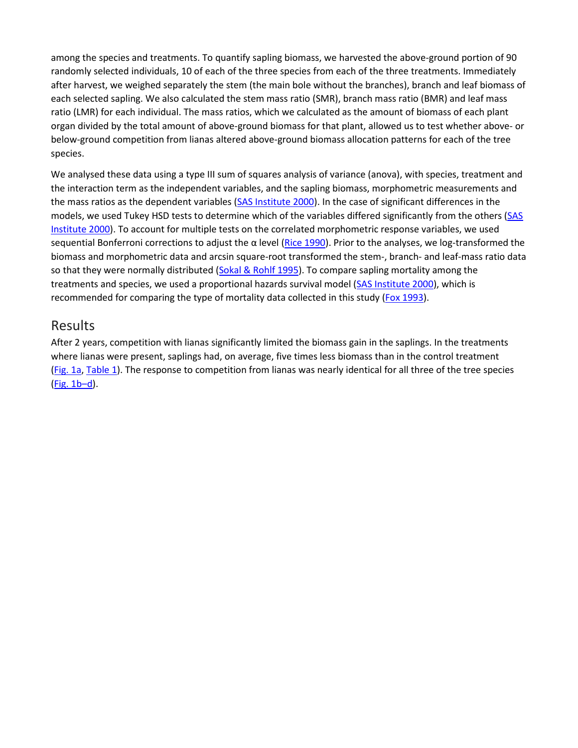among the species and treatments. To quantify sapling biomass, we harvested the above-ground portion of 90 randomly selected individuals, 10 of each of the three species from each of the three treatments. Immediately after harvest, we weighed separately the stem (the main bole without the branches), branch and leaf biomass of each selected sapling. We also calculated the stem mass ratio (SMR), branch mass ratio (BMR) and leaf mass ratio (LMR) for each individual. The mass ratios, which we calculated as the amount of biomass of each plant organ divided by the total amount of above-ground biomass for that plant, allowed us to test whether above- or below-ground competition from lianas altered above-ground biomass allocation patterns for each of the tree species.

We analysed these data using a type III sum of squares analysis of variance (anova), with species, treatment and the interaction term as the independent variables, and the sapling biomass, morphometric measurements and the mass ratios as the dependent variables [\(SAS Institute 2000\)](https://besjournals.onlinelibrary.wiley.com/doi/full/10.1111/j.1365-2745.2005.01056.x#b53). In the case of significant differences in the models, we used Tukey HSD tests to determine which of the variables differed significantly from the others (SAS [Institute 2000\)](https://besjournals.onlinelibrary.wiley.com/doi/full/10.1111/j.1365-2745.2005.01056.x#b53). To account for multiple tests on the correlated morphometric response variables, we used sequential Bonferroni corrections to adjust the α level ([Rice 1990\)](https://besjournals.onlinelibrary.wiley.com/doi/full/10.1111/j.1365-2745.2005.01056.x#b54). Prior to the analyses, we log-transformed the biomass and morphometric data and arcsin square-root transformed the stem-, branch- and leaf-mass ratio data so that they were normally distributed [\(Sokal & Rohlf 1995\)](https://besjournals.onlinelibrary.wiley.com/doi/full/10.1111/j.1365-2745.2005.01056.x#b55). To compare sapling mortality among the treatments and species, we used a proportional hazards survival model [\(SAS Institute 2000\)](https://besjournals.onlinelibrary.wiley.com/doi/full/10.1111/j.1365-2745.2005.01056.x#b53), which is recommended for comparing the type of mortality data collected in this study [\(Fox 1993\)](https://besjournals.onlinelibrary.wiley.com/doi/full/10.1111/j.1365-2745.2005.01056.x#b56).

#### Results

After 2 years, competition with lianas significantly limited the biomass gain in the saplings. In the treatments where lianas were present, saplings had, on average, five times less biomass than in the control treatment [\(Fig.](https://besjournals.onlinelibrary.wiley.com/doi/full/10.1111/j.1365-2745.2005.01056.x#f1) 1a[, Table](https://besjournals.onlinelibrary.wiley.com/doi/full/10.1111/j.1365-2745.2005.01056.x#t1) 1). The response to competition from lianas was nearly identical for all three of the tree species (Fig. [1b–d\)](https://besjournals.onlinelibrary.wiley.com/doi/full/10.1111/j.1365-2745.2005.01056.x#f1).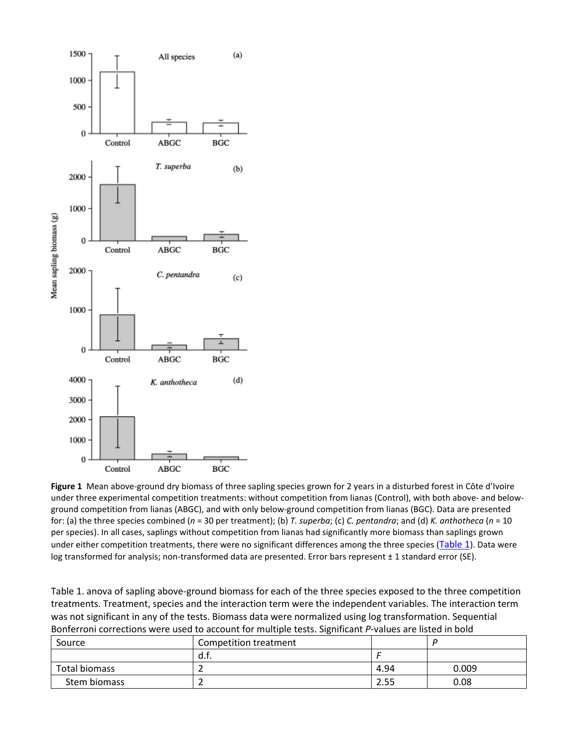

**Figure 1** Mean above-ground dry biomass of three sapling species grown for 2 years in a disturbed forest in Côte d'Ivoire under three experimental competition treatments: without competition from lianas (Control), with both above- and belowground competition from lianas (ABGC), and with only below-ground competition from lianas (BGC). Data are presented for: (a) the three species combined (*n* = 30 per treatment); (b) *T. superba*; (c) *C. pentandra*; and (d) *K. anthotheca* (*n* = 10 per species). In all cases, saplings without competition from lianas had significantly more biomass than saplings grown under either competition treatments, there were no significant differences among the three species [\(Table](https://besjournals.onlinelibrary.wiley.com/doi/full/10.1111/j.1365-2745.2005.01056.x#t1) 1). Data were log transformed for analysis; non-transformed data are presented. Error bars represent ± 1 standard error (SE).

Table 1. anova of sapling above-ground biomass for each of the three species exposed to the three competition treatments. Treatment, species and the interaction term were the independent variables. The interaction term was not significant in any of the tests. Biomass data were normalized using log transformation. Sequential Bonferroni corrections were used to account for multiple tests. Significant *P*-values are listed in bold

| Source        | Competition treatment |      |       |
|---------------|-----------------------|------|-------|
|               | a.t.                  |      |       |
| Total biomass |                       | 4.94 | 0.009 |
| Stem biomass  |                       | 2.55 | 0.08  |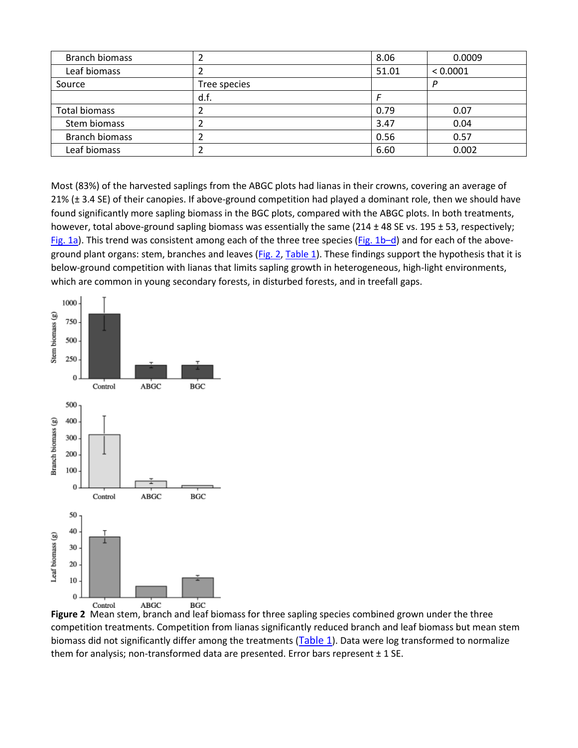| <b>Branch biomass</b> |              | 8.06  | 0.0009   |
|-----------------------|--------------|-------|----------|
| Leaf biomass          |              | 51.01 | < 0.0001 |
| Source                | Tree species |       | D        |
|                       | d.f.         |       |          |
| <b>Total biomass</b>  |              | 0.79  | 0.07     |
| Stem biomass          |              | 3.47  | 0.04     |
| <b>Branch biomass</b> |              | 0.56  | 0.57     |
| Leaf biomass          |              | 6.60  | 0.002    |

Most (83%) of the harvested saplings from the ABGC plots had lianas in their crowns, covering an average of 21% (± 3.4 SE) of their canopies. If above-ground competition had played a dominant role, then we should have found significantly more sapling biomass in the BGC plots, compared with the ABGC plots. In both treatments, however, total above-ground sapling biomass was essentially the same (214  $\pm$  48 SE vs. 195  $\pm$  53, respectively; [Fig.](https://besjournals.onlinelibrary.wiley.com/doi/full/10.1111/j.1365-2745.2005.01056.x#f1) 1a). This trend was consistent among each of the three tree species ( $Fig. 1b-d$ ) and for each of the above-ground plant organs: stem, branches and leaves [\(Fig.](https://besjournals.onlinelibrary.wiley.com/doi/full/10.1111/j.1365-2745.2005.01056.x#f2) 2[, Table](https://besjournals.onlinelibrary.wiley.com/doi/full/10.1111/j.1365-2745.2005.01056.x#t1) 1). These findings support the hypothesis that it is below-ground competition with lianas that limits sapling growth in heterogeneous, high-light environments, which are common in young secondary forests, in disturbed forests, and in treefall gaps.



**Figure 2** Mean stem, branch and leaf biomass for three sapling species combined grown under the three competition treatments. Competition from lianas significantly reduced branch and leaf biomass but mean stem biomass did not significantly differ among the treatments [\(Table](https://besjournals.onlinelibrary.wiley.com/doi/full/10.1111/j.1365-2745.2005.01056.x#t1) 1). Data were log transformed to normalize them for analysis; non-transformed data are presented. Error bars represent ± 1 SE.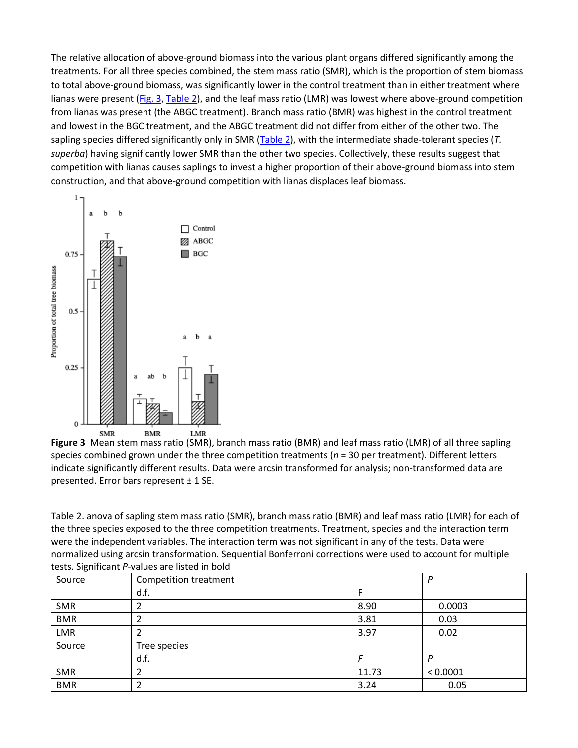The relative allocation of above-ground biomass into the various plant organs differed significantly among the treatments. For all three species combined, the stem mass ratio (SMR), which is the proportion of stem biomass to total above-ground biomass, was significantly lower in the control treatment than in either treatment where lianas were present [\(Fig.](https://besjournals.onlinelibrary.wiley.com/doi/full/10.1111/j.1365-2745.2005.01056.x#f3) 3, [Table](https://besjournals.onlinelibrary.wiley.com/doi/full/10.1111/j.1365-2745.2005.01056.x#t2) 2), and the leaf mass ratio (LMR) was lowest where above-ground competition from lianas was present (the ABGC treatment). Branch mass ratio (BMR) was highest in the control treatment and lowest in the BGC treatment, and the ABGC treatment did not differ from either of the other two. The sapling species differed significantly only in SMR [\(Table](https://besjournals.onlinelibrary.wiley.com/doi/full/10.1111/j.1365-2745.2005.01056.x#t2) 2), with the intermediate shade-tolerant species (*T. superba*) having significantly lower SMR than the other two species. Collectively, these results suggest that competition with lianas causes saplings to invest a higher proportion of their above-ground biomass into stem construction, and that above-ground competition with lianas displaces leaf biomass.



**Figure 3** Mean stem mass ratio (SMR), branch mass ratio (BMR) and leaf mass ratio (LMR) of all three sapling species combined grown under the three competition treatments (*n* = 30 per treatment). Different letters indicate significantly different results. Data were arcsin transformed for analysis; non-transformed data are presented. Error bars represent ± 1 SE.

Table 2. anova of sapling stem mass ratio (SMR), branch mass ratio (BMR) and leaf mass ratio (LMR) for each of the three species exposed to the three competition treatments. Treatment, species and the interaction term were the independent variables. The interaction term was not significant in any of the tests. Data were normalized using arcsin transformation. Sequential Bonferroni corrections were used to account for multiple tests. Significant *P*-values are listed in bold

| Source     | Competition treatment |       | P        |
|------------|-----------------------|-------|----------|
|            | d.f.                  |       |          |
| <b>SMR</b> |                       | 8.90  | 0.0003   |
| <b>BMR</b> |                       | 3.81  | 0.03     |
| <b>LMR</b> |                       | 3.97  | 0.02     |
| Source     | Tree species          |       |          |
|            | d.f.                  |       | D        |
| <b>SMR</b> |                       | 11.73 | < 0.0001 |
| <b>BMR</b> |                       | 3.24  | 0.05     |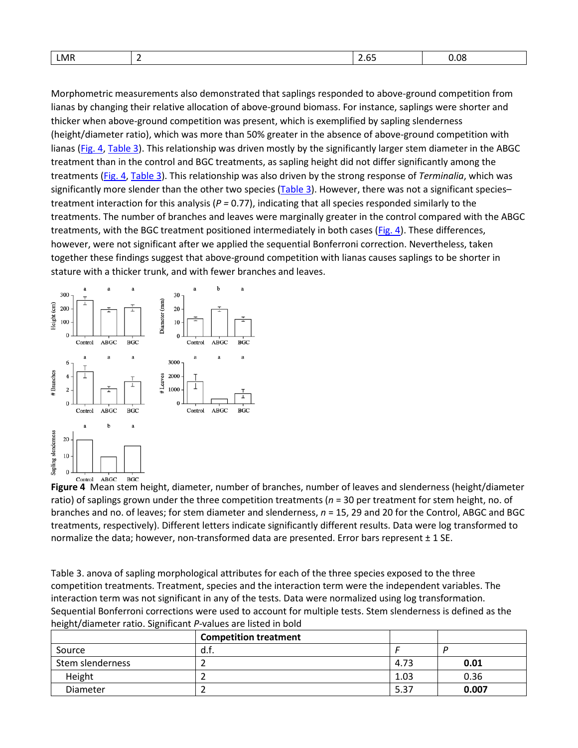| 0.08<br>LMR<br>. . |
|--------------------|
|--------------------|

Morphometric measurements also demonstrated that saplings responded to above-ground competition from lianas by changing their relative allocation of above-ground biomass. For instance, saplings were shorter and thicker when above-ground competition was present, which is exemplified by sapling slenderness (height/diameter ratio), which was more than 50% greater in the absence of above-ground competition with lianas [\(Fig.](https://besjournals.onlinelibrary.wiley.com/doi/full/10.1111/j.1365-2745.2005.01056.x#f4) 4, [Table](https://besjournals.onlinelibrary.wiley.com/doi/full/10.1111/j.1365-2745.2005.01056.x#t3) 3). This relationship was driven mostly by the significantly larger stem diameter in the ABGC treatment than in the control and BGC treatments, as sapling height did not differ significantly among the treatments [\(Fig.](https://besjournals.onlinelibrary.wiley.com/doi/full/10.1111/j.1365-2745.2005.01056.x#f4) 4[, Table](https://besjournals.onlinelibrary.wiley.com/doi/full/10.1111/j.1365-2745.2005.01056.x#t3) 3). This relationship was also driven by the strong response of *Terminalia*, which was significantly more slender than the other two species  $(Table 3)$  $(Table 3)$ . However, there was not a significant species– treatment interaction for this analysis (*P =* 0.77), indicating that all species responded similarly to the treatments. The number of branches and leaves were marginally greater in the control compared with the ABGC treatments, with the BGC treatment positioned intermediately in both cases [\(Fig.](https://besjournals.onlinelibrary.wiley.com/doi/full/10.1111/j.1365-2745.2005.01056.x#f4) 4). These differences, however, were not significant after we applied the sequential Bonferroni correction. Nevertheless, taken together these findings suggest that above-ground competition with lianas causes saplings to be shorter in stature with a thicker trunk, and with fewer branches and leaves.



**Figure 4** Mean stem height, diameter, number of branches, number of leaves and slenderness (height/diameter ratio) of saplings grown under the three competition treatments (*n* = 30 per treatment for stem height, no. of branches and no. of leaves; for stem diameter and slenderness, *n* = 15, 29 and 20 for the Control, ABGC and BGC treatments, respectively). Different letters indicate significantly different results. Data were log transformed to normalize the data; however, non-transformed data are presented. Error bars represent ± 1 SE.

Table 3. anova of sapling morphological attributes for each of the three species exposed to the three competition treatments. Treatment, species and the interaction term were the independent variables. The interaction term was not significant in any of the tests. Data were normalized using log transformation. Sequential Bonferroni corrections were used to account for multiple tests. Stem slenderness is defined as the height/diameter ratio. Significant *P*-values are listed in bold

|                  | <b>Competition treatment</b> |      |       |
|------------------|------------------------------|------|-------|
| Source           | d.f.                         |      |       |
| Stem slenderness |                              | 4.73 | 0.01  |
| Height           |                              | 1.03 | 0.36  |
| <b>Diameter</b>  |                              | 5.37 | 0.007 |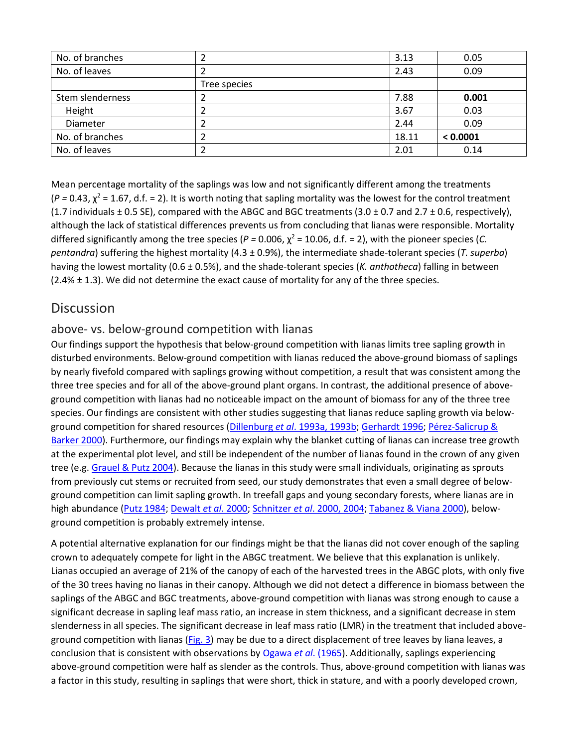| No. of branches  |              | 3.13  | 0.05     |
|------------------|--------------|-------|----------|
| No. of leaves    |              | 2.43  | 0.09     |
|                  | Tree species |       |          |
| Stem slenderness |              | 7.88  | 0.001    |
| Height           |              | 3.67  | 0.03     |
| Diameter         |              | 2.44  | 0.09     |
| No. of branches  |              | 18.11 | < 0.0001 |
| No. of leaves    |              | 2.01  | 0.14     |

Mean percentage mortality of the saplings was low and not significantly different among the treatments  $(P = 0.43, \chi^2 = 1.67, d.f. = 2)$ . It is worth noting that sapling mortality was the lowest for the control treatment (1.7 individuals  $\pm$  0.5 SE), compared with the ABGC and BGC treatments (3.0  $\pm$  0.7 and 2.7  $\pm$  0.6, respectively), although the lack of statistical differences prevents us from concluding that lianas were responsible. Mortality differed significantly among the tree species ( $P = 0.006$ ,  $\chi^2 = 10.06$ , d.f. = 2), with the pioneer species (*C*. *pentandra*) suffering the highest mortality (4.3 ± 0.9%), the intermediate shade-tolerant species (*T. superba*) having the lowest mortality (0.6 ± 0.5%), and the shade-tolerant species (*K. anthotheca*) falling in between  $(2.4% \pm 1.3)$ . We did not determine the exact cause of mortality for any of the three species.

## **Discussion**

#### above- vs. below-ground competition with lianas

Our findings support the hypothesis that below-ground competition with lianas limits tree sapling growth in disturbed environments. Below-ground competition with lianas reduced the above-ground biomass of saplings by nearly fivefold compared with saplings growing without competition, a result that was consistent among the three tree species and for all of the above-ground plant organs. In contrast, the additional presence of aboveground competition with lianas had no noticeable impact on the amount of biomass for any of the three tree species. Our findings are consistent with other studies suggesting that lianas reduce sapling growth via belowground competition for shared resources (Dillenburg *et al*[. 1993a, 1993b;](https://besjournals.onlinelibrary.wiley.com/doi/full/10.1111/j.1365-2745.2005.01056.x#b40%20#b41) [Gerhardt 1996;](https://besjournals.onlinelibrary.wiley.com/doi/full/10.1111/j.1365-2745.2005.01056.x#b28) [Pérez-Salicrup &](https://besjournals.onlinelibrary.wiley.com/doi/full/10.1111/j.1365-2745.2005.01056.x#b38)  [Barker 2000\)](https://besjournals.onlinelibrary.wiley.com/doi/full/10.1111/j.1365-2745.2005.01056.x#b38). Furthermore, our findings may explain why the blanket cutting of lianas can increase tree growth at the experimental plot level, and still be independent of the number of lianas found in the crown of any given tree (e.g. [Grauel & Putz 2004\)](https://besjournals.onlinelibrary.wiley.com/doi/full/10.1111/j.1365-2745.2005.01056.x#b57). Because the lianas in this study were small individuals, originating as sprouts from previously cut stems or recruited from seed, our study demonstrates that even a small degree of belowground competition can limit sapling growth. In treefall gaps and young secondary forests, where lianas are in high abundance [\(Putz 1984;](https://besjournals.onlinelibrary.wiley.com/doi/full/10.1111/j.1365-2745.2005.01056.x#b33) [Dewalt](https://besjournals.onlinelibrary.wiley.com/doi/full/10.1111/j.1365-2745.2005.01056.x#b34) *et al*. 2000; Schnitzer *et al*[. 2000, 2004;](https://besjournals.onlinelibrary.wiley.com/doi/full/10.1111/j.1365-2745.2005.01056.x#b23%20#b24) [Tabanez & Viana 2000\)](https://besjournals.onlinelibrary.wiley.com/doi/full/10.1111/j.1365-2745.2005.01056.x#b58), belowground competition is probably extremely intense.

A potential alternative explanation for our findings might be that the lianas did not cover enough of the sapling crown to adequately compete for light in the ABGC treatment. We believe that this explanation is unlikely. Lianas occupied an average of 21% of the canopy of each of the harvested trees in the ABGC plots, with only five of the 30 trees having no lianas in their canopy. Although we did not detect a difference in biomass between the saplings of the ABGC and BGC treatments, above-ground competition with lianas was strong enough to cause a significant decrease in sapling leaf mass ratio, an increase in stem thickness, and a significant decrease in stem slenderness in all species. The significant decrease in leaf mass ratio (LMR) in the treatment that included above-ground competition with lianas [\(Fig.](https://besjournals.onlinelibrary.wiley.com/doi/full/10.1111/j.1365-2745.2005.01056.x#f3) 3) may be due to a direct displacement of tree leaves by liana leaves, a conclusion that is consistent with observations by [Ogawa](https://besjournals.onlinelibrary.wiley.com/doi/full/10.1111/j.1365-2745.2005.01056.x#b59) *et al*. (1965). Additionally, saplings experiencing above-ground competition were half as slender as the controls. Thus, above-ground competition with lianas was a factor in this study, resulting in saplings that were short, thick in stature, and with a poorly developed crown,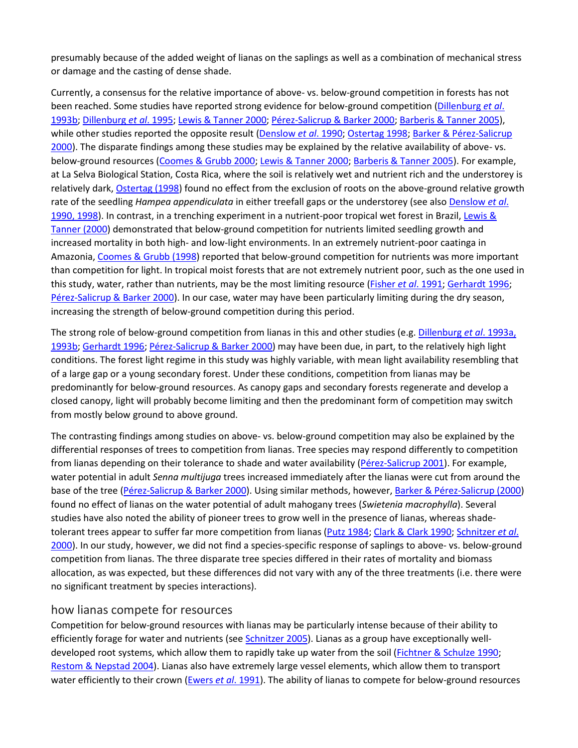presumably because of the added weight of lianas on the saplings as well as a combination of mechanical stress or damage and the casting of dense shade.

Currently, a consensus for the relative importance of above- vs. below-ground competition in forests has not been reached. Some studies have reported strong evidence for below-ground competition [\(Dillenburg](https://besjournals.onlinelibrary.wiley.com/doi/full/10.1111/j.1365-2745.2005.01056.x#b41) *et al*. [1993b;](https://besjournals.onlinelibrary.wiley.com/doi/full/10.1111/j.1365-2745.2005.01056.x#b41) [Dillenburg](https://besjournals.onlinelibrary.wiley.com/doi/full/10.1111/j.1365-2745.2005.01056.x#b42) *et al*. 1995; [Lewis & Tanner 2000;](https://besjournals.onlinelibrary.wiley.com/doi/full/10.1111/j.1365-2745.2005.01056.x#b14) [Pérez-Salicrup & Barker 2000;](https://besjournals.onlinelibrary.wiley.com/doi/full/10.1111/j.1365-2745.2005.01056.x#b38) [Barberis & Tanner 2005\)](https://besjournals.onlinelibrary.wiley.com/doi/full/10.1111/j.1365-2745.2005.01056.x#b15), while other studies reported the opposite result [\(Denslow](https://besjournals.onlinelibrary.wiley.com/doi/full/10.1111/j.1365-2745.2005.01056.x#b61) *et al*. 1990; [Ostertag 1998;](https://besjournals.onlinelibrary.wiley.com/doi/full/10.1111/j.1365-2745.2005.01056.x#b12) [Barker & Pérez-Salicrup](https://besjournals.onlinelibrary.wiley.com/doi/full/10.1111/j.1365-2745.2005.01056.x#b39)  [2000\)](https://besjournals.onlinelibrary.wiley.com/doi/full/10.1111/j.1365-2745.2005.01056.x#b39). The disparate findings among these studies may be explained by the relative availability of above- vs. below-ground resources (Coomes & [Grubb 2000;](https://besjournals.onlinelibrary.wiley.com/doi/full/10.1111/j.1365-2745.2005.01056.x#b13) [Lewis & Tanner 2000;](https://besjournals.onlinelibrary.wiley.com/doi/full/10.1111/j.1365-2745.2005.01056.x#b14) [Barberis & Tanner 2005\)](https://besjournals.onlinelibrary.wiley.com/doi/full/10.1111/j.1365-2745.2005.01056.x#b15). For example, at La Selva Biological Station, Costa Rica, where the soil is relatively wet and nutrient rich and the understorey is relatively dark, [Ostertag \(1998\)](https://besjournals.onlinelibrary.wiley.com/doi/full/10.1111/j.1365-2745.2005.01056.x#b12) found no effect from the exclusion of roots on the above-ground relative growth rate of the seedling *Hampea appendiculata* in either treefall gaps or the understorey (see also [Denslow](https://besjournals.onlinelibrary.wiley.com/doi/full/10.1111/j.1365-2745.2005.01056.x#b61%20#b29) *et al*. [1990, 1998\)](https://besjournals.onlinelibrary.wiley.com/doi/full/10.1111/j.1365-2745.2005.01056.x#b61%20#b29). In contrast, in a trenching experiment in a nutrient-poor tropical wet forest in Brazil, [Lewis &](https://besjournals.onlinelibrary.wiley.com/doi/full/10.1111/j.1365-2745.2005.01056.x#b14)  [Tanner \(2000\)](https://besjournals.onlinelibrary.wiley.com/doi/full/10.1111/j.1365-2745.2005.01056.x#b14) demonstrated that below-ground competition for nutrients limited seedling growth and increased mortality in both high- and low-light environments. In an extremely nutrient-poor caatinga in Amazonia[, Coomes & Grubb \(1998\)](https://besjournals.onlinelibrary.wiley.com/doi/full/10.1111/j.1365-2745.2005.01056.x#b13) reported that below-ground competition for nutrients was more important than competition for light. In tropical moist forests that are not extremely nutrient poor, such as the one used in this study, water, rather than nutrients, may be the most limiting resource [\(Fisher](https://besjournals.onlinelibrary.wiley.com/doi/full/10.1111/j.1365-2745.2005.01056.x#b62) *et al*. 1991; [Gerhardt 1996;](https://besjournals.onlinelibrary.wiley.com/doi/full/10.1111/j.1365-2745.2005.01056.x#b28) [Pérez-Salicrup & Barker 2000\)](https://besjournals.onlinelibrary.wiley.com/doi/full/10.1111/j.1365-2745.2005.01056.x#b38). In our case, water may have been particularly limiting during the dry season, increasing the strength of below-ground competition during this period.

The strong role of below-ground competition from lianas in this and other studies (e.g. [Dillenburg](https://besjournals.onlinelibrary.wiley.com/doi/full/10.1111/j.1365-2745.2005.01056.x#b40%20#b41) *et al*. 1993a, [1993b;](https://besjournals.onlinelibrary.wiley.com/doi/full/10.1111/j.1365-2745.2005.01056.x#b40%20#b41) [Gerhardt 1996;](https://besjournals.onlinelibrary.wiley.com/doi/full/10.1111/j.1365-2745.2005.01056.x#b28) [Pérez-Salicrup & Barker 2000\)](https://besjournals.onlinelibrary.wiley.com/doi/full/10.1111/j.1365-2745.2005.01056.x#b38) may have been due, in part, to the relatively high light conditions. The forest light regime in this study was highly variable, with mean light availability resembling that of a large gap or a young secondary forest. Under these conditions, competition from lianas may be predominantly for below-ground resources. As canopy gaps and secondary forests regenerate and develop a closed canopy, light will probably become limiting and then the predominant form of competition may switch from mostly below ground to above ground.

The contrasting findings among studies on above- vs. below-ground competition may also be explained by the differential responses of trees to competition from lianas. Tree species may respond differently to competition from lianas depending on their tolerance to shade and water availability [\(Pérez-Salicrup 2001\)](https://besjournals.onlinelibrary.wiley.com/doi/full/10.1111/j.1365-2745.2005.01056.x#b60). For example, water potential in adult *Senna multijuga* trees increased immediately after the lianas were cut from around the base of the tree [\(Pérez-Salicrup & Barker 2000\)](https://besjournals.onlinelibrary.wiley.com/doi/full/10.1111/j.1365-2745.2005.01056.x#b38). Using similar methods, however[, Barker & Pérez-Salicrup \(2000\)](https://besjournals.onlinelibrary.wiley.com/doi/full/10.1111/j.1365-2745.2005.01056.x#b39) found no effect of lianas on the water potential of adult mahogany trees (*Swietenia macrophylla*). Several studies have also noted the ability of pioneer trees to grow well in the presence of lianas, whereas shadetolerant trees appear to suffer far more competition from lianas [\(Putz 1984;](https://besjournals.onlinelibrary.wiley.com/doi/full/10.1111/j.1365-2745.2005.01056.x#b33) [Clark & Clark 1990;](https://besjournals.onlinelibrary.wiley.com/doi/full/10.1111/j.1365-2745.2005.01056.x#b37) [Schnitzer](https://besjournals.onlinelibrary.wiley.com/doi/full/10.1111/j.1365-2745.2005.01056.x#b23) *et al*. [2000\)](https://besjournals.onlinelibrary.wiley.com/doi/full/10.1111/j.1365-2745.2005.01056.x#b23). In our study, however, we did not find a species-specific response of saplings to above- vs. below-ground competition from lianas. The three disparate tree species differed in their rates of mortality and biomass allocation, as was expected, but these differences did not vary with any of the three treatments (i.e. there were no significant treatment by species interactions).

#### how lianas compete for resources

Competition for below-ground resources with lianas may be particularly intense because of their ability to efficiently forage for water and nutrients (see [Schnitzer 2005\)](https://besjournals.onlinelibrary.wiley.com/doi/full/10.1111/j.1365-2745.2005.01056.x#b32). Lianas as a group have exceptionally well-developed root systems, which allow them to rapidly take up water from the soil [\(Fichtner & Schulze 1990;](https://besjournals.onlinelibrary.wiley.com/doi/full/10.1111/j.1365-2745.2005.01056.x#b63) [Restom & Nepstad 2004\)](https://besjournals.onlinelibrary.wiley.com/doi/full/10.1111/j.1365-2745.2005.01056.x#b64). Lianas also have extremely large vessel elements, which allow them to transport water efficiently to their crown [\(Ewers](https://besjournals.onlinelibrary.wiley.com/doi/full/10.1111/j.1365-2745.2005.01056.x#b65) *et al*. 1991). The ability of lianas to compete for below-ground resources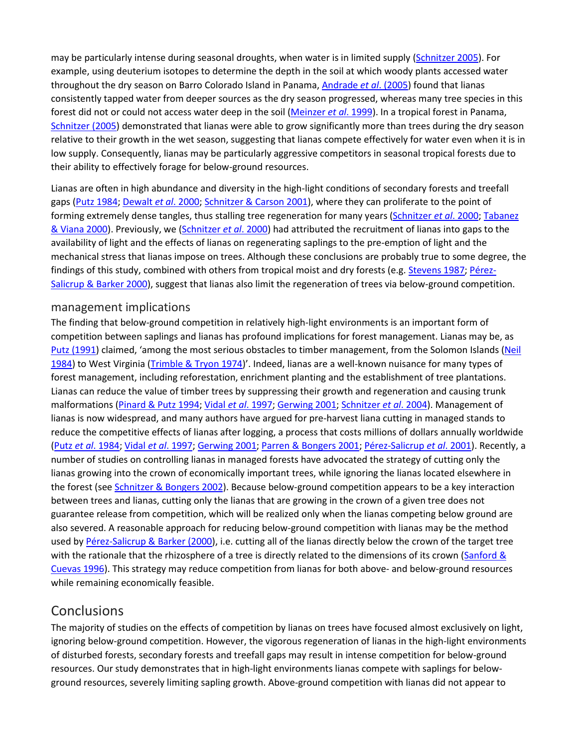may be particularly intense during seasonal droughts, when water is in limited supply [\(Schnitzer 2005\)](https://besjournals.onlinelibrary.wiley.com/doi/full/10.1111/j.1365-2745.2005.01056.x#b32). For example, using deuterium isotopes to determine the depth in the soil at which woody plants accessed water throughout the dry season on Barro Colorado Island in Panama, [Andrade](https://besjournals.onlinelibrary.wiley.com/doi/full/10.1111/j.1365-2745.2005.01056.x#b66) *et al*. (2005) found that lianas consistently tapped water from deeper sources as the dry season progressed, whereas many tree species in this forest did not or could not access water deep in the soil [\(Meinzer](https://besjournals.onlinelibrary.wiley.com/doi/full/10.1111/j.1365-2745.2005.01056.x#b67) *et al*. 1999). In a tropical forest in Panama, [Schnitzer \(2005\)](https://besjournals.onlinelibrary.wiley.com/doi/full/10.1111/j.1365-2745.2005.01056.x#b32) demonstrated that lianas were able to grow significantly more than trees during the dry season relative to their growth in the wet season, suggesting that lianas compete effectively for water even when it is in low supply. Consequently, lianas may be particularly aggressive competitors in seasonal tropical forests due to their ability to effectively forage for below-ground resources.

Lianas are often in high abundance and diversity in the high-light conditions of secondary forests and treefall gaps [\(Putz 1984;](https://besjournals.onlinelibrary.wiley.com/doi/full/10.1111/j.1365-2745.2005.01056.x#b33) [Dewalt](https://besjournals.onlinelibrary.wiley.com/doi/full/10.1111/j.1365-2745.2005.01056.x#b34) *et al*. 2000[; Schnitzer & Carson 2001\)](https://besjournals.onlinelibrary.wiley.com/doi/full/10.1111/j.1365-2745.2005.01056.x#b20), where they can proliferate to the point of forming extremely dense tangles, thus stalling tree regeneration for many years [\(Schnitzer](https://besjournals.onlinelibrary.wiley.com/doi/full/10.1111/j.1365-2745.2005.01056.x#b23) *et al*. 2000[; Tabanez](https://besjournals.onlinelibrary.wiley.com/doi/full/10.1111/j.1365-2745.2005.01056.x#b58)  [& Viana 2000\)](https://besjournals.onlinelibrary.wiley.com/doi/full/10.1111/j.1365-2745.2005.01056.x#b58). Previously, we [\(Schnitzer](https://besjournals.onlinelibrary.wiley.com/doi/full/10.1111/j.1365-2745.2005.01056.x#b23) *et al*. 2000) had attributed the recruitment of lianas into gaps to the availability of light and the effects of lianas on regenerating saplings to the pre-emption of light and the mechanical stress that lianas impose on trees. Although these conclusions are probably true to some degree, the findings of this study, combined with others from tropical moist and dry forests (e.g[. Stevens 1987;](https://besjournals.onlinelibrary.wiley.com/doi/full/10.1111/j.1365-2745.2005.01056.x#b36) [Pérez-](https://besjournals.onlinelibrary.wiley.com/doi/full/10.1111/j.1365-2745.2005.01056.x#b38)[Salicrup & Barker 2000\)](https://besjournals.onlinelibrary.wiley.com/doi/full/10.1111/j.1365-2745.2005.01056.x#b38), suggest that lianas also limit the regeneration of trees via below-ground competition.

#### management implications

The finding that below-ground competition in relatively high-light environments is an important form of competition between saplings and lianas has profound implications for forest management. Lianas may be, as [Putz \(1991\)](https://besjournals.onlinelibrary.wiley.com/doi/full/10.1111/j.1365-2745.2005.01056.x#b68) claimed, 'among the most serious obstacles to timber management, from the Solomon Islands [\(Neil](https://besjournals.onlinelibrary.wiley.com/doi/full/10.1111/j.1365-2745.2005.01056.x#b200)  [1984\)](https://besjournals.onlinelibrary.wiley.com/doi/full/10.1111/j.1365-2745.2005.01056.x#b200) to West Virginia [\(Trimble & Tryon 1974\)](https://besjournals.onlinelibrary.wiley.com/doi/full/10.1111/j.1365-2745.2005.01056.x#b201)'. Indeed, lianas are a well-known nuisance for many types of forest management, including reforestation, enrichment planting and the establishment of tree plantations. Lianas can reduce the value of timber trees by suppressing their growth and regeneration and causing trunk malformations [\(Pinard & Putz 1994;](https://besjournals.onlinelibrary.wiley.com/doi/full/10.1111/j.1365-2745.2005.01056.x#b71) Vidal *et al*[. 1997;](https://besjournals.onlinelibrary.wiley.com/doi/full/10.1111/j.1365-2745.2005.01056.x#b72) [Gerwing 2001;](https://besjournals.onlinelibrary.wiley.com/doi/full/10.1111/j.1365-2745.2005.01056.x#b69) [Schnitzer](https://besjournals.onlinelibrary.wiley.com/doi/full/10.1111/j.1365-2745.2005.01056.x#b24) *et al*. 2004). Management of lianas is now widespread, and many authors have argued for pre-harvest liana cutting in managed stands to reduce the competitive effects of lianas after logging, a process that costs millions of dollars annually worldwide (Putz *et al*[. 1984;](https://besjournals.onlinelibrary.wiley.com/doi/full/10.1111/j.1365-2745.2005.01056.x#b74) Vidal *et al*[. 1997;](https://besjournals.onlinelibrary.wiley.com/doi/full/10.1111/j.1365-2745.2005.01056.x#b72) [Gerwing](https://besjournals.onlinelibrary.wiley.com/doi/full/10.1111/j.1365-2745.2005.01056.x#b69) 2001; [Parren & Bongers 2001;](https://besjournals.onlinelibrary.wiley.com/doi/full/10.1111/j.1365-2745.2005.01056.x#b70) [Pérez-Salicrup](https://besjournals.onlinelibrary.wiley.com/doi/full/10.1111/j.1365-2745.2005.01056.x#b73) *et al*. 2001). Recently, a number of studies on controlling lianas in managed forests have advocated the strategy of cutting only the lianas growing into the crown of economically important trees, while ignoring the lianas located elsewhere in the forest (se[e Schnitzer & Bongers 2002\)](https://besjournals.onlinelibrary.wiley.com/doi/full/10.1111/j.1365-2745.2005.01056.x#b31). Because below-ground competition appears to be a key interaction between trees and lianas, cutting only the lianas that are growing in the crown of a given tree does not guarantee release from competition, which will be realized only when the lianas competing below ground are also severed. A reasonable approach for reducing below-ground competition with lianas may be the method used by [Pérez-Salicrup & Barker \(2000\)](https://besjournals.onlinelibrary.wiley.com/doi/full/10.1111/j.1365-2745.2005.01056.x#b38), i.e. cutting all of the lianas directly below the crown of the target tree with the rationale that the rhizosphere of a tree is directly related to the dimensions of its crown (Sanford & [Cuevas 1996\)](https://besjournals.onlinelibrary.wiley.com/doi/full/10.1111/j.1365-2745.2005.01056.x#b75). This strategy may reduce competition from lianas for both above- and below-ground resources while remaining economically feasible.

## Conclusions

The majority of studies on the effects of competition by lianas on trees have focused almost exclusively on light, ignoring below-ground competition. However, the vigorous regeneration of lianas in the high-light environments of disturbed forests, secondary forests and treefall gaps may result in intense competition for below-ground resources. Our study demonstrates that in high-light environments lianas compete with saplings for belowground resources, severely limiting sapling growth. Above-ground competition with lianas did not appear to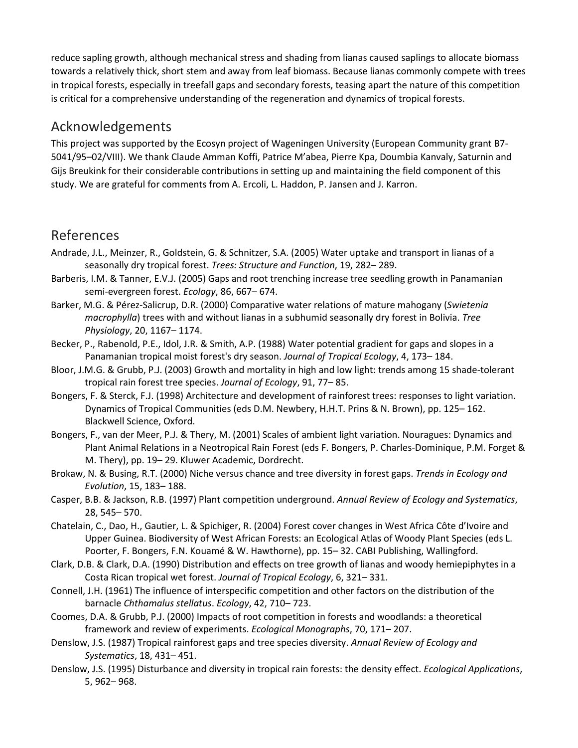reduce sapling growth, although mechanical stress and shading from lianas caused saplings to allocate biomass towards a relatively thick, short stem and away from leaf biomass. Because lianas commonly compete with trees in tropical forests, especially in treefall gaps and secondary forests, teasing apart the nature of this competition is critical for a comprehensive understanding of the regeneration and dynamics of tropical forests.

#### Acknowledgements

This project was supported by the Ecosyn project of Wageningen University (European Community grant B7- 5041/95–02/VIII). We thank Claude Amman Koffi, Patrice M'abea, Pierre Kpa, Doumbia Kanvaly, Saturnin and Gijs Breukink for their considerable contributions in setting up and maintaining the field component of this study. We are grateful for comments from A. Ercoli, L. Haddon, P. Jansen and J. Karron.

## References

- Andrade, J.L., Meinzer, R., Goldstein, G. & Schnitzer, S.A. (2005) Water uptake and transport in lianas of a seasonally dry tropical forest. *Trees: Structure and Function*, 19, 282– 289.
- Barberis, I.M. & Tanner, E.V.J. (2005) Gaps and root trenching increase tree seedling growth in Panamanian semi-evergreen forest. *Ecology*, 86, 667– 674.
- Barker, M.G. & Pérez-Salicrup, D.R. (2000) Comparative water relations of mature mahogany (*Swietenia macrophylla*) trees with and without lianas in a subhumid seasonally dry forest in Bolivia. *Tree Physiology*, 20, 1167– 1174.
- Becker, P., Rabenold, P.E., Idol, J.R. & Smith, A.P. (1988) Water potential gradient for gaps and slopes in a Panamanian tropical moist forest's dry season. *Journal of Tropical Ecology*, 4, 173– 184.
- Bloor, J.M.G. & Grubb, P.J. (2003) Growth and mortality in high and low light: trends among 15 shade-tolerant tropical rain forest tree species. *Journal of Ecology*, 91, 77– 85.
- Bongers, F. & Sterck, F.J. (1998) Architecture and development of rainforest trees: responses to light variation. Dynamics of Tropical Communities (eds D.M. Newbery, H.H.T. Prins & N. Brown), pp. 125– 162. Blackwell Science, Oxford.
- Bongers, F., van der Meer, P.J. & Thery, M. (2001) Scales of ambient light variation. Nouragues: Dynamics and Plant Animal Relations in a Neotropical Rain Forest (eds F. Bongers, P. Charles-Dominique, P.M. Forget & M. Thery), pp. 19– 29. Kluwer Academic, Dordrecht.
- Brokaw, N. & Busing, R.T. (2000) Niche versus chance and tree diversity in forest gaps. *Trends in Ecology and Evolution*, 15, 183– 188.
- Casper, B.B. & Jackson, R.B. (1997) Plant competition underground. *Annual Review of Ecology and Systematics*, 28, 545– 570.
- Chatelain, C., Dao, H., Gautier, L. & Spichiger, R. (2004) Forest cover changes in West Africa Côte d'Ivoire and Upper Guinea. Biodiversity of West African Forests: an Ecological Atlas of Woody Plant Species (eds L. Poorter, F. Bongers, F.N. Kouamé & W. Hawthorne), pp. 15– 32. CABI Publishing, Wallingford.
- Clark, D.B. & Clark, D.A. (1990) Distribution and effects on tree growth of lianas and woody hemiepiphytes in a Costa Rican tropical wet forest. *Journal of Tropical Ecology*, 6, 321– 331.
- Connell, J.H. (1961) The influence of interspecific competition and other factors on the distribution of the barnacle *Chthamalus stellatus*. *Ecology*, 42, 710– 723.
- Coomes, D.A. & Grubb, P.J. (2000) Impacts of root competition in forests and woodlands: a theoretical framework and review of experiments. *Ecological Monographs*, 70, 171– 207.
- Denslow, J.S. (1987) Tropical rainforest gaps and tree species diversity. *Annual Review of Ecology and Systematics*, 18, 431– 451.
- Denslow, J.S. (1995) Disturbance and diversity in tropical rain forests: the density effect. *Ecological Applications*, 5, 962– 968.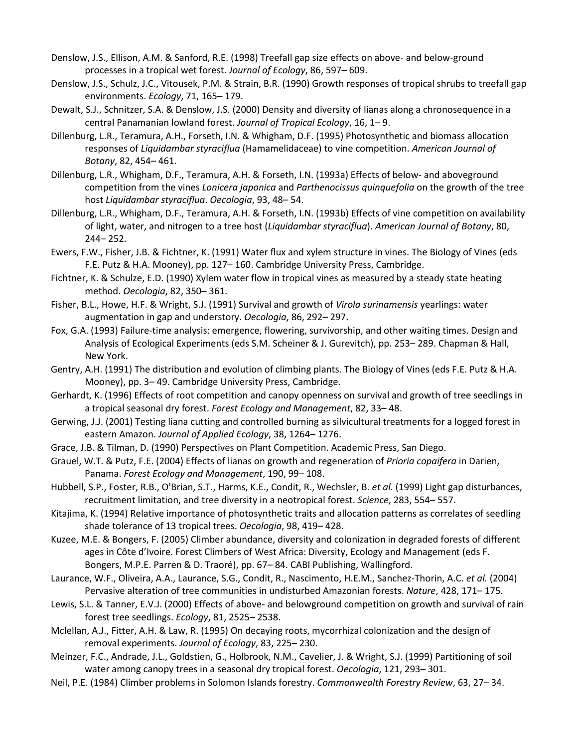- Denslow, J.S., Ellison, A.M. & Sanford, R.E. (1998) Treefall gap size effects on above- and below-ground processes in a tropical wet forest. *Journal of Ecology*, 86, 597– 609.
- Denslow, J.S., Schulz, J.C., Vitousek, P.M. & Strain, B.R. (1990) Growth responses of tropical shrubs to treefall gap environments. *Ecology*, 71, 165– 179.
- Dewalt, S.J., Schnitzer, S.A. & Denslow, J.S. (2000) Density and diversity of lianas along a chronosequence in a central Panamanian lowland forest. *Journal of Tropical Ecology*, 16, 1– 9.
- Dillenburg, L.R., Teramura, A.H., Forseth, I.N. & Whigham, D.F. (1995) Photosynthetic and biomass allocation responses of *Liquidambar styraciflua* (Hamamelidaceae) to vine competition. *American Journal of Botany*, 82, 454– 461.
- Dillenburg, L.R., Whigham, D.F., Teramura, A.H. & Forseth, I.N. (1993a) Effects of below- and aboveground competition from the vines *Lonicera japonica* and *Parthenocissus quinquefolia* on the growth of the tree host *Liquidambar styraciflua*. *Oecologia*, 93, 48– 54.
- Dillenburg, L.R., Whigham, D.F., Teramura, A.H. & Forseth, I.N. (1993b) Effects of vine competition on availability of light, water, and nitrogen to a tree host (*Liquidambar styraciflua*). *American Journal of Botany*, 80, 244– 252.
- Ewers, F.W., Fisher, J.B. & Fichtner, K. (1991) Water flux and xylem structure in vines. The Biology of Vines (eds F.E. Putz & H.A. Mooney), pp. 127– 160. Cambridge University Press, Cambridge.
- Fichtner, K. & Schulze, E.D. (1990) Xylem water flow in tropical vines as measured by a steady state heating method. *Oecologia*, 82, 350– 361.
- Fisher, B.L., Howe, H.F. & Wright, S.J. (1991) Survival and growth of *Virola surinamensis* yearlings: water augmentation in gap and understory. *Oecologia*, 86, 292– 297.
- Fox, G.A. (1993) Failure-time analysis: emergence, flowering, survivorship, and other waiting times. Design and Analysis of Ecological Experiments (eds S.M. Scheiner & J. Gurevitch), pp. 253– 289. Chapman & Hall, New York.
- Gentry, A.H. (1991) The distribution and evolution of climbing plants. The Biology of Vines (eds F.E. Putz & H.A. Mooney), pp. 3– 49. Cambridge University Press, Cambridge.
- Gerhardt, K. (1996) Effects of root competition and canopy openness on survival and growth of tree seedlings in a tropical seasonal dry forest. *Forest Ecology and Management*, 82, 33– 48.
- Gerwing, J.J. (2001) Testing liana cutting and controlled burning as silvicultural treatments for a logged forest in eastern Amazon. *Journal of Applied Ecology*, 38, 1264– 1276.
- Grace, J.B. & Tilman, D. (1990) Perspectives on Plant Competition. Academic Press, San Diego.
- Grauel, W.T. & Putz, F.E. (2004) Effects of lianas on growth and regeneration of *Prioria copaifera* in Darien, Panama. *Forest Ecology and Management*, 190, 99– 108.
- Hubbell, S.P., Foster, R.B., O'Brian, S.T., Harms, K.E., Condit, R., Wechsler, B. *et al.* (1999) Light gap disturbances, recruitment limitation, and tree diversity in a neotropical forest. *Science*, 283, 554– 557.
- Kitajima, K. (1994) Relative importance of photosynthetic traits and allocation patterns as correlates of seedling shade tolerance of 13 tropical trees. *Oecologia*, 98, 419– 428.
- Kuzee, M.E. & Bongers, F. (2005) Climber abundance, diversity and colonization in degraded forests of different ages in Côte d'Ivoire. Forest Climbers of West Africa: Diversity, Ecology and Management (eds F. Bongers, M.P.E. Parren & D. Traoré), pp. 67– 84. CABI Publishing, Wallingford.
- Laurance, W.F., Oliveira, A.A., Laurance, S.G., Condit, R., Nascimento, H.E.M., Sanchez-Thorin, A.C. *et al.* (2004) Pervasive alteration of tree communities in undisturbed Amazonian forests. *Nature*, 428, 171– 175.
- Lewis, S.L. & Tanner, E.V.J. (2000) Effects of above- and belowground competition on growth and survival of rain forest tree seedlings. *Ecology*, 81, 2525– 2538.
- Mclellan, A.J., Fitter, A.H. & Law, R. (1995) On decaying roots, mycorrhizal colonization and the design of removal experiments. *Journal of Ecology*, 83, 225– 230.
- Meinzer, F.C., Andrade, J.L., Goldstien, G., Holbrook, N.M., Cavelier, J. & Wright, S.J. (1999) Partitioning of soil water among canopy trees in a seasonal dry tropical forest. *Oecologia*, 121, 293– 301.
- Neil, P.E. (1984) Climber problems in Solomon Islands forestry. *Commonwealth Forestry Review*, 63, 27– 34.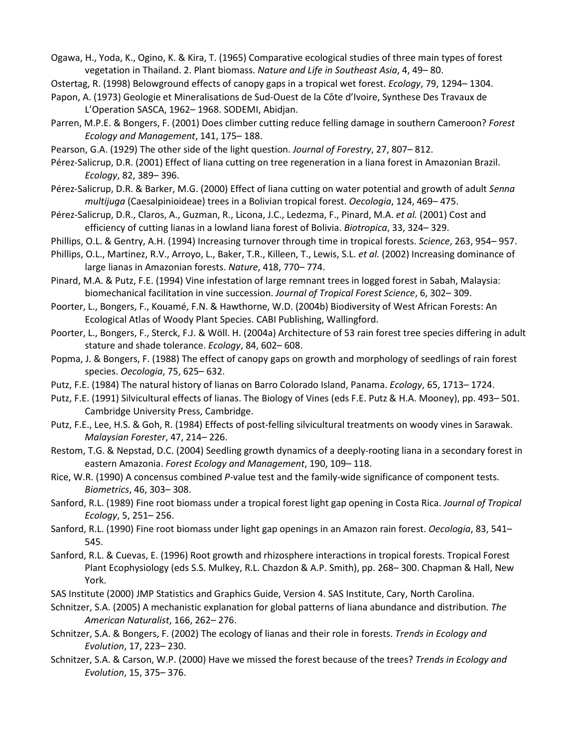Ogawa, H., Yoda, K., Ogino, K. & Kira, T. (1965) Comparative ecological studies of three main types of forest vegetation in Thailand. 2. Plant biomass. *Nature and Life in Southeast Asia*, 4, 49– 80.

- Ostertag, R. (1998) Belowground effects of canopy gaps in a tropical wet forest. *Ecology*, 79, 1294– 1304.
- Papon, A. (1973) Geologie et Mineralisations de Sud-Ouest de la Côte d'Ivoire, Synthese Des Travaux de L'Operation SASCA, 1962– 1968. SODEMI, Abidjan.
- Parren, M.P.E. & Bongers, F. (2001) Does climber cutting reduce felling damage in southern Cameroon? *Forest Ecology and Management*, 141, 175– 188.
- Pearson, G.A. (1929) The other side of the light question. *Journal of Forestry*, 27, 807– 812.
- Pérez-Salicrup, D.R. (2001) Effect of liana cutting on tree regeneration in a liana forest in Amazonian Brazil. *Ecology*, 82, 389– 396.
- Pérez-Salicrup, D.R. & Barker, M.G. (2000) Effect of liana cutting on water potential and growth of adult *Senna multijuga* (Caesalpinioideae) trees in a Bolivian tropical forest. *Oecologia*, 124, 469– 475.
- Pérez-Salicrup, D.R., Claros, A., Guzman, R., Licona, J.C., Ledezma, F., Pinard, M.A. *et al.* (2001) Cost and efficiency of cutting lianas in a lowland liana forest of Bolivia. *Biotropica*, 33, 324– 329.
- Phillips, O.L. & Gentry, A.H. (1994) Increasing turnover through time in tropical forests. *Science*, 263, 954– 957.
- Phillips, O.L., Martinez, R.V., Arroyo, L., Baker, T.R., Killeen, T., Lewis, S.L. *et al.* (2002) Increasing dominance of large lianas in Amazonian forests. *Nature*, 418, 770– 774.
- Pinard, M.A. & Putz, F.E. (1994) Vine infestation of large remnant trees in logged forest in Sabah, Malaysia: biomechanical facilitation in vine succession. *Journal of Tropical Forest Science*, 6, 302– 309.
- Poorter, L., Bongers, F., Kouamé, F.N. & Hawthorne, W.D. (2004b) Biodiversity of West African Forests: An Ecological Atlas of Woody Plant Species. CABI Publishing, Wallingford.
- Poorter, L., Bongers, F., Sterck, F.J. & Wöll. H. (2004a) Architecture of 53 rain forest tree species differing in adult stature and shade tolerance. *Ecology*, 84, 602– 608.
- Popma, J. & Bongers, F. (1988) The effect of canopy gaps on growth and morphology of seedlings of rain forest species. *Oecologia*, 75, 625– 632.
- Putz, F.E. (1984) The natural history of lianas on Barro Colorado Island, Panama. *Ecology*, 65, 1713– 1724.
- Putz, F.E. (1991) Silvicultural effects of lianas. The Biology of Vines (eds F.E. Putz & H.A. Mooney), pp. 493– 501. Cambridge University Press, Cambridge.
- Putz, F.E., Lee, H.S. & Goh, R. (1984) Effects of post-felling silvicultural treatments on woody vines in Sarawak. *Malaysian Forester*, 47, 214– 226.
- Restom, T.G. & Nepstad, D.C. (2004) Seedling growth dynamics of a deeply-rooting liana in a secondary forest in eastern Amazonia. *Forest Ecology and Management*, 190, 109– 118.
- Rice, W.R. (1990) A concensus combined *P*-value test and the family-wide significance of component tests. *Biometrics*, 46, 303– 308.
- Sanford, R.L. (1989) Fine root biomass under a tropical forest light gap opening in Costa Rica. *Journal of Tropical Ecology*, 5, 251– 256.
- Sanford, R.L. (1990) Fine root biomass under light gap openings in an Amazon rain forest. *Oecologia*, 83, 541– 545.
- Sanford, R.L. & Cuevas, E. (1996) Root growth and rhizosphere interactions in tropical forests. Tropical Forest Plant Ecophysiology (eds S.S. Mulkey, R.L. Chazdon & A.P. Smith), pp. 268– 300. Chapman & Hall, New York.
- SAS Institute (2000) JMP Statistics and Graphics Guide, Version 4. SAS Institute, Cary, North Carolina.
- Schnitzer, S.A. (2005) A mechanistic explanation for global patterns of liana abundance and distribution. *The American Naturalist*, 166, 262– 276.
- Schnitzer, S.A. & Bongers, F. (2002) The ecology of lianas and their role in forests. *Trends in Ecology and Evolution*, 17, 223– 230.
- Schnitzer, S.A. & Carson, W.P. (2000) Have we missed the forest because of the trees? *Trends in Ecology and Evolution*, 15, 375– 376.